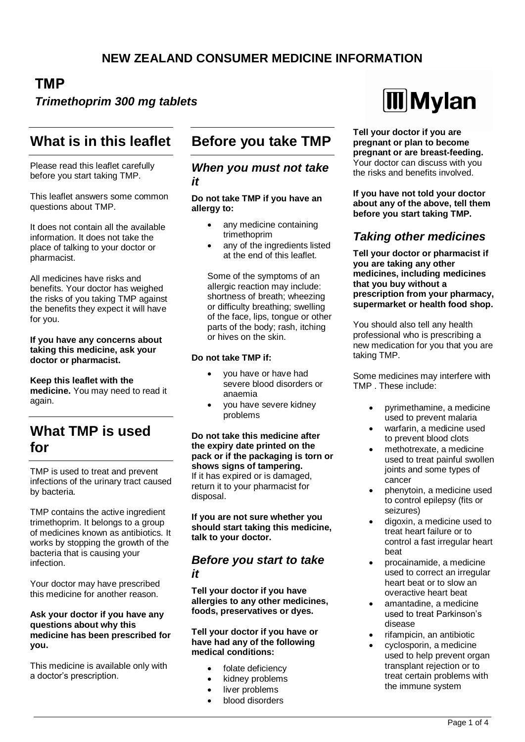## **TMP**

### *Trimethoprim 300 mg tablets*

# **What is in this leaflet**

Please read this leaflet carefully before you start taking TMP.

This leaflet answers some common questions about TMP.

It does not contain all the available information. It does not take the place of talking to your doctor or pharmacist.

All medicines have risks and benefits. Your doctor has weighed the risks of you taking TMP against the benefits they expect it will have for you.

#### **If you have any concerns about taking this medicine, ask your doctor or pharmacist.**

**Keep this leaflet with the medicine.** You may need to read it again.

# **What TMP is used for**

TMP is used to treat and prevent infections of the urinary tract caused by bacteria.

TMP contains the active ingredient trimethoprim. It belongs to a group of medicines known as antibiotics. It works by stopping the growth of the bacteria that is causing your infection.

Your doctor may have prescribed this medicine for another reason.

#### **Ask your doctor if you have any questions about why this medicine has been prescribed for you.**

This medicine is available only with a doctor's prescription.

# **Before you take TMP**

#### *When you must not take it*

**Do not take TMP if you have an allergy to:**

- any medicine containing trimethoprim
- any of the ingredients listed at the end of this leaflet.

Some of the symptoms of an allergic reaction may include: shortness of breath; wheezing or difficulty breathing; swelling of the face, lips, tongue or other parts of the body; rash, itching or hives on the skin.

#### **Do not take TMP if:**

- you have or have had severe blood disorders or anaemia
- you have severe kidney problems

**Do not take this medicine after the expiry date printed on the pack or if the packaging is torn or shows signs of tampering.** If it has expired or is damaged, return it to your pharmacist for disposal.

**If you are not sure whether you should start taking this medicine, talk to your doctor.**

### *Before you start to take it*

**Tell your doctor if you have allergies to any other medicines, foods, preservatives or dyes.**

**Tell your doctor if you have or have had any of the following medical conditions:**

- folate deficiency
- kidney problems
- liver problems
- blood disorders



**Tell your doctor if you are pregnant or plan to become pregnant or are breast-feeding.** Your doctor can discuss with you the risks and benefits involved.

**If you have not told your doctor about any of the above, tell them before you start taking TMP.**

### *Taking other medicines*

**Tell your doctor or pharmacist if you are taking any other medicines, including medicines that you buy without a prescription from your pharmacy, supermarket or health food shop.**

You should also tell any health professional who is prescribing a new medication for you that you are taking TMP.

Some medicines may interfere with TMP . These include:

- pyrimethamine, a medicine used to prevent malaria
- warfarin, a medicine used to prevent blood clots
- methotrexate, a medicine used to treat painful swollen joints and some types of cancer
- phenytoin, a medicine used to control epilepsy (fits or seizures)
- digoxin, a medicine used to treat heart failure or to control a fast irregular heart beat
- procainamide, a medicine used to correct an irregular heart beat or to slow an overactive heart beat
- amantadine, a medicine used to treat Parkinson's disease
- rifampicin, an antibiotic
- cyclosporin, a medicine used to help prevent organ transplant rejection or to treat certain problems with the immune system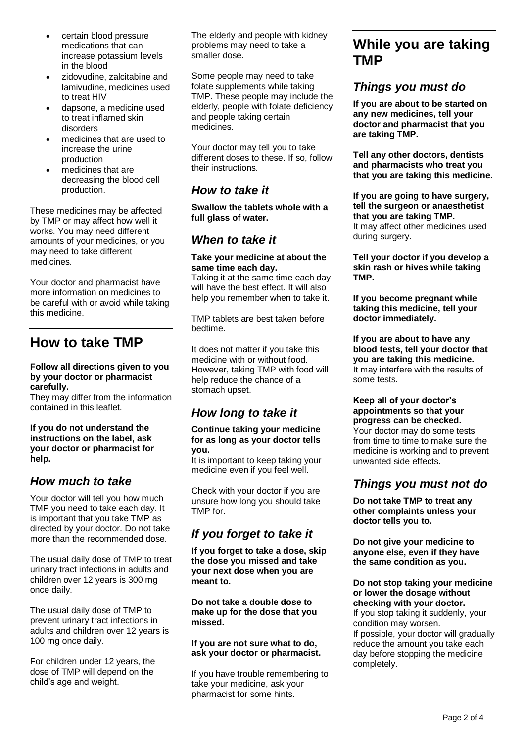- certain blood pressure medications that can increase potassium levels in the blood
- zidovudine, zalcitabine and lamivudine, medicines used to treat HIV
- dapsone, a medicine used to treat inflamed skin disorders
- medicines that are used to increase the urine production
- medicines that are decreasing the blood cell production.

These medicines may be affected by TMP or may affect how well it works. You may need different amounts of your medicines, or you may need to take different medicines.

Your doctor and pharmacist have more information on medicines to be careful with or avoid while taking this medicine.

# **How to take TMP**

#### **Follow all directions given to you by your doctor or pharmacist carefully.**

They may differ from the information contained in this leaflet.

**If you do not understand the instructions on the label, ask your doctor or pharmacist for help.**

### *How much to take*

Your doctor will tell you how much TMP you need to take each day. It is important that you take TMP as directed by your doctor. Do not take more than the recommended dose.

The usual daily dose of TMP to treat urinary tract infections in adults and children over 12 years is 300 mg once daily.

The usual daily dose of TMP to prevent urinary tract infections in adults and children over 12 years is 100 mg once daily.

For children under 12 years, the dose of TMP will depend on the child's age and weight.

The elderly and people with kidney problems may need to take a smaller dose.

Some people may need to take folate supplements while taking TMP. These people may include the elderly, people with folate deficiency and people taking certain medicines.

Your doctor may tell you to take different doses to these. If so, follow their instructions.

### *How to take it*

**Swallow the tablets whole with a full glass of water.**

### *When to take it*

#### **Take your medicine at about the same time each day.**

Taking it at the same time each day will have the best effect. It will also help you remember when to take it.

TMP tablets are best taken before bedtime.

It does not matter if you take this medicine with or without food. However, taking TMP with food will help reduce the chance of a stomach upset.

### *How long to take it*

#### **Continue taking your medicine for as long as your doctor tells you.**

It is important to keep taking your medicine even if you feel well.

Check with your doctor if you are unsure how long you should take TMP for.

### *If you forget to take it*

**If you forget to take a dose, skip the dose you missed and take your next dose when you are meant to.**

**Do not take a double dose to make up for the dose that you missed.**

**If you are not sure what to do, ask your doctor or pharmacist.**

If you have trouble remembering to take your medicine, ask your pharmacist for some hints.

# **While you are taking TMP**

### *Things you must do*

**If you are about to be started on any new medicines, tell your doctor and pharmacist that you are taking TMP.**

**Tell any other doctors, dentists and pharmacists who treat you that you are taking this medicine.**

#### **If you are going to have surgery, tell the surgeon or anaesthetist that you are taking TMP.** It may affect other medicines used during surgery.

**Tell your doctor if you develop a skin rash or hives while taking TMP.**

**If you become pregnant while taking this medicine, tell your doctor immediately.**

**If you are about to have any blood tests, tell your doctor that you are taking this medicine.** It may interfere with the results of some tests.

#### **Keep all of your doctor's appointments so that your progress can be checked.**

Your doctor may do some tests from time to time to make sure the medicine is working and to prevent unwanted side effects.

### *Things you must not do*

**Do not take TMP to treat any other complaints unless your doctor tells you to.**

**Do not give your medicine to anyone else, even if they have the same condition as you.**

**Do not stop taking your medicine or lower the dosage without checking with your doctor.** If you stop taking it suddenly, your condition may worsen. If possible, your doctor will gradually reduce the amount you take each day before stopping the medicine completely.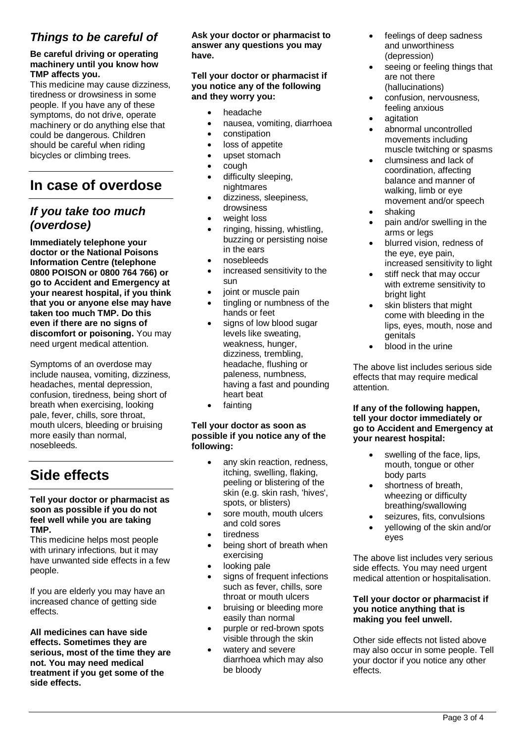### *Things to be careful of*

#### **Be careful driving or operating machinery until you know how TMP affects you.**

This medicine may cause dizziness, tiredness or drowsiness in some people. If you have any of these symptoms, do not drive, operate machinery or do anything else that could be dangerous. Children should be careful when riding bicycles or climbing trees.

# **In case of overdose**

### *If you take too much (overdose)*

**Immediately telephone your doctor or the National Poisons Information Centre (telephone 0800 POISON or 0800 764 766) or go to Accident and Emergency at your nearest hospital, if you think that you or anyone else may have taken too much TMP. Do this even if there are no signs of discomfort or poisoning.** You may need urgent medical attention.

Symptoms of an overdose may include nausea, vomiting, dizziness, headaches, mental depression, confusion, tiredness, being short of breath when exercising, looking pale, fever, chills, sore throat, mouth ulcers, bleeding or bruising more easily than normal, nosebleeds.

# **Side effects**

#### **Tell your doctor or pharmacist as soon as possible if you do not feel well while you are taking TMP.**

This medicine helps most people with urinary infections*,* but it may have unwanted side effects in a few people.

If you are elderly you may have an increased chance of getting side effects.

**All medicines can have side effects. Sometimes they are serious, most of the time they are not. You may need medical treatment if you get some of the side effects.**

**Ask your doctor or pharmacist to answer any questions you may have.**

#### **Tell your doctor or pharmacist if you notice any of the following and they worry you:**

- headache
- nausea, vomiting, diarrhoea
- constipation
- loss of appetite
- upset stomach
- cough
- difficulty sleeping, nightmares
- dizziness, sleepiness, drowsiness
- weight loss
- ringing, hissing, whistling, buzzing or persisting noise in the ears
- nosebleeds
- increased sensitivity to the sun
- ioint or muscle pain
- tingling or numbness of the hands or feet
- signs of low blood sugar levels like sweating, weakness, hunger, dizziness, trembling, headache, flushing or paleness, numbness, having a fast and pounding heart beat
- fainting

#### **Tell your doctor as soon as possible if you notice any of the following:**

- any skin reaction, redness, itching, swelling, flaking, peeling or blistering of the skin (e.g. skin rash, 'hives', spots, or blisters)
- sore mouth, mouth ulcers and cold sores
- tiredness
- being short of breath when exercising
- looking pale
- signs of frequent infections such as fever, chills, sore throat or mouth ulcers
- bruising or bleeding more easily than normal
- purple or red-brown spots visible through the skin
- watery and severe diarrhoea which may also be bloody
- feelings of deep sadness and unworthiness (depression)
- seeing or feeling things that are not there (hallucinations)
- confusion, nervousness, feeling anxious
- agitation
- abnormal uncontrolled movements including muscle twitching or spasms
- clumsiness and lack of coordination, affecting balance and manner of walking, limb or eye movement and/or speech
- shaking
- pain and/or swelling in the arms or legs
- blurred vision, redness of the eye, eye pain, increased sensitivity to light
- stiff neck that may occur with extreme sensitivity to bright light
- skin blisters that might come with bleeding in the lips, eyes, mouth, nose and genitals
- blood in the urine

The above list includes serious side effects that may require medical attention.

#### **If any of the following happen, tell your doctor immediately or go to Accident and Emergency at your nearest hospital:**

- swelling of the face, lips, mouth, tongue or other body parts
- shortness of breath. wheezing or difficulty breathing/swallowing
- seizures, fits, convulsions
- yellowing of the skin and/or eyes

The above list includes very serious side effects. You may need urgent medical attention or hospitalisation.

#### **Tell your doctor or pharmacist if you notice anything that is making you feel unwell.**

Other side effects not listed above may also occur in some people. Tell your doctor if you notice any other effects.